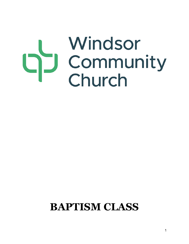# Windsor **Community<br>Church** J

# **BAPTISM CLASS**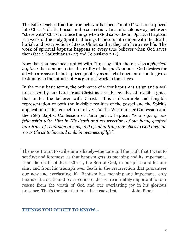The Bible teaches that the true believer has been "united" with or baptized into Christ's death, burial, and resurrection. In a miraculous way, believers "share with" Christ in these things when God saves them. Spiritual baptism is a work of the Holy Spirit that brings believers into union with the death, burial, and resurrection of Jesus Christ so that they can live a new life. The work of spiritual baptism happens to every true believer when God saves them (see 1 Corinthians 12:13 and Colossians 2:12).

Now that you have been united with Christ by faith, there is also a *physical baptism* that demonstrates the reality of the *spiritual* one. God desires for all who are saved to be baptized publicly as an act of obedience and to give a testimony to the miracle of His glorious work in their lives.

In the most basic terms, the ordinance of water baptism is a sign and a seal prescribed by our Lord Jesus Christ as a visible symbol of invisible grace that unites the believer with Christ. It is a discernible and tangible representation of both the invisible realities of the gospel and the Spirit's application of this gospel to our lives. As the Westminster Confession and the 1689 Baptist Confession of Faith put it, baptism *"is a sign of our fellowship with Him in His death and resurrection, of our being grafted into Him, of remission of sins, and of submitting ourselves to God through Jesus Christ to live and walk in newness of life"*.

The note I want to strike immediately—the tone and the truth that I want to set first and foremost—is that baptism gets its meaning and its importance from the death of Jesus Christ, the Son of God, in our place and for our sins, and from his triumph over death in the resurrection that guarantees our new and everlasting life. Baptism has meaning and importance only because the death and resurrection of Jesus are infinitely important for our rescue from the wrath of God and our everlasting joy in his glorious presence. That's the note that must be struck first. John Piper

## **THINGS YOU OUGHT TO KNOW…**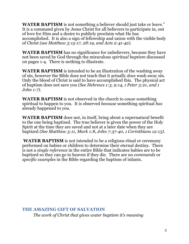**WATER BAPTISM** is not something a believer should just take or leave." It is a command given by Jesus Christ for all believers to participate in, out of love for Him and a desire to publicly proclaim what He has accomplished. It is also a sign of fellowship and union with the visible body of Christ *(see Matthew 3:15-17, 28:19, and Acts 2:41-42).*

**WATER BAPTISM** has no significance for unbelievers, because they have not been saved by God through the miraculous *spiritual baptism* discussed on pages 1-4. There is nothing to illustrate.

**WATER BAPTISM** is intended to be an illustration of the washing away of sin, however the Bible does not teach that it actually *does* wash away sin. Only the blood of Christ is said to have accomplished this. The physical act of baptism does not save you *(See Hebrews 1:3, 9:14, 1 Peter 3:21, and 1 John 1:7).*

**WATER BAPTISM** is not observed in the church to *cause* something spiritual to happen to you. It is observed *because* something spiritual *has* already happened to you.

**WATER BAPTISM** does not, in itself, bring about a supernatural benefit to the one being baptized. The true believer is given the power of the Holy Spirit at the time they are saved and not at a later date when they are baptized *(See Matthew 3:11, Mark 1:8, John 7:37-40, 1 Corinthians 12:13).*

**WATER BAPTISM** is not intended to be a religious ritual or ceremony performed on babies or children to determine their eternal destiny. There is not a *single reference* in the entire Bible that indicates babies are to be baptized so they can go to heaven if they die. There are no *commands* or *specific examples* in the Bible regarding the baptism of infants.

#### **THE AMAZING GIFT OF SALVATION** *The work of Christ that gives water baptism it's meaning*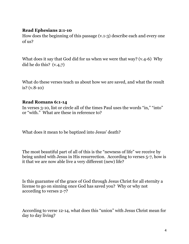#### **Read Ephesians 2:1-10**

How does the beginning of this passage (v.1-3) describe each and every one  $of$  us?

What does it say that God did for us when we were that way? (v.4-6) Why did he do this? (v.4,7)

What do these verses teach us about how we are saved, and what the result is? (v.8-10)

#### **Read Romans 6:1-14**

In verses 3-10, list or circle all of the times Paul uses the words "in," "into" or "with." What are these in reference to?

What does it mean to be baptized into Jesus' death?

The most beautiful part of all of this is the "newness of life" we receive by being united with Jesus in His resurrection. According to verses 5-7, how is it that we are now able live a very different (new) life?

Is this guarantee of the grace of God through Jesus Christ for all eternity a license to go on sinning once God has saved you? Why or why not according to verses 2-7?

According to verse 12-14, what does this "union" with Jesus Christ mean for day to day living?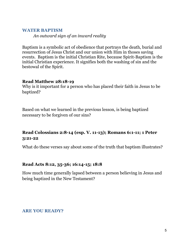#### **WATER BAPTISM**

*An outward sign of an inward reality*

Baptism is a symbolic act of obedience that portrays the death, burial and resurrection of Jesus Christ and our union with Him in thoses saving events. Baptism is the initial Christian Rite, because Spirit-Baptism is the initial Christian experience. It signifies both the washing of sin and the bestowal of the Spirit.

#### **Read Matthew 28:18-19**

Why is it important for a person who has placed their faith in Jesus to be baptized?

Based on what we learned in the previous lesson, is being baptized necessary to be forgiven of our sins?

# **Read Colossians 2:8-14 (esp. V. 11-13); Romans 6:1-11; 1 Peter 3:21-22**

What do these verses say about some of the truth that baptism illustrates?

#### **Read Acts 8:12, 35-36; 16:14-15; 18:8**

How much time generally lapsed between a person believing in Jesus and being baptized in the New Testament?

#### **ARE YOU READY?**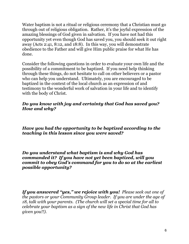Water baptism is not a ritual or religious ceremony that a Christian must go through out of religious obligation. Rather, it's the joyful expression of the amazing blessings of God given in salvation. If you have not had this opportunity yet even though God has saved you, you should seek it out right away (Acts 2:41, 8:12, and 18:8). In this way, you will demonstrate obedience to the Father and will give Him public praise for what He has done.

Consider the following questions in order to evaluate your own life and the possibility of a commitment to be baptized. If you need help thinking through these things, do not hesitate to call on other believers or a pastor who can help you understand. Ultimately, you are encouraged to be baptized in the context of the local church as an expression of and testimony to the wonderful work of salvation in your life and to identify with the body of Christ.

#### *Do you know with joy and certainty that God has saved you? How and why?*

*Have you had the opportunity to be baptized according to the teaching in this lesson since you were saved?*

*Do you understand what baptism is and why God has commanded it? If you have not yet been baptized, will you commit to obey God's command for you to do so at the earliest possible opportunity?*

*If you answered "yes, " we rejoice with you! Please seek out one of the pastors or your Community Group leader. If you are under the age of 18, talk with your parents. (The church will set a special time for all to celebrate your baptism as a sign of the new life in Christ that God has given you!!).*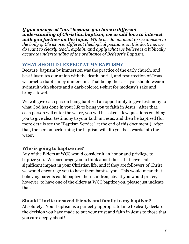*If you answered "no, " because you have a dif erent understanding of Christian baptism, we would love to interact with you further on the topic. While we do not want to see division in the body of Christ over dif erent theological positions on this doctrine, we do want to clearly teach, explain, and apply what we believe is a biblically accurate understanding of the ordinance of Believer's Baptism.*

# **WHAT SHOULD I EXPECT AT MY BAPTISM?**

Because baptism by immersion was the practice of the early church, and best illustrates our union with the death, burial, and resurrection of Jesus, we practice baptism by immersion. That being the case, you should wear a swimsuit with shorts and a dark-colored t-shirt for modesty's sake and bring a towel.

We will give each person being baptized an opportunity to give testimony to what God has done in your life to bring you to faith in Jesus. After that, each person will enter the water, you will be asked a few questions enabling you to give clear testimony to your faith in Jesus, and then be baptized (for more details see the "Baptism Service" at the end of this document.) After that, the person performing the baptism will dip you backwards into the water.

# **Who is going to baptize me?**

Any of the Elders at WCC would consider it an honor and privilege to baptize you. We encourage you to think about those that have had significant impact in your Christian life, and if they are followers of Christ we would encourage you to have them baptize you. This would mean that believing parents could baptize their children, etc. If you would prefer, however, to have one of the elders at WCC baptize you, please just indicate that.

## **Should I invite unsaved friends and family to my baptism?**

Absolutely! Your baptism is a perfectly appropriate time to clearly declare the decision you have made to put your trust and faith in Jesus to those that you care deeply about!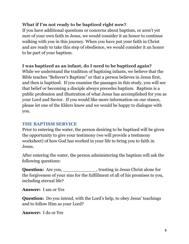# **What if I'm not ready to be baptized right now?**

If you have additional questions or concerns about baptism, or aren't yet sure of your own faith in Jesus, we would consider it an honor to continue walking with you in this journey. When you have put your faith in Christ and are ready to take this step of obedience, we would consider it an honor to be part of your baptism.

# **I was baptized as an infant, do I need to be baptized again?**

While we understand the tradition of baptizing infants, we believe that the Bible teaches "Believer's Baptism" or that a person believes in Jesus first, and then is baptized. If you examine the passages in this study, you will see that belief or becoming a disciple always precedes baptism. Baptism is a public profession and illustration of what Jesus has accomplished for you as your Lord and Savior. If you would like more information on our stance, please let one of the Elders know and we would be happy to dialogue with you.

# **THE BAPTISM SERVICE**

Prior to entering the water, the person desiring to be baptized will be given the opportunity to give your testimony (we will provide a testimony worksheet) of how God has worked in your life to bring you to faith in Jesus.

After entering the water, the person administering the baptism will ask the following questions:

**Question:** Are you, \_\_\_\_\_\_\_\_\_\_\_\_, trusting in Jesus Christ alone for the forgiveness of your sins for the fulfillment of all of his promises to you, including eternal life?

**Answer:** I am or Yes

**Question:** Do you intend, with the Lord's help, to obey Jesus' teachings and to follow Him as your Lord?

**Answer:** I do or Yes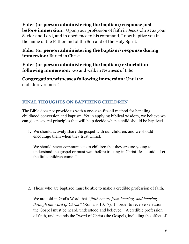**Elder (or person administering the baptism) response just before immersion:** Upon your profession of faith in Jesus Christ as your Savior and Lord, and in obedience to his command, I now baptize you in the name of the Father and of the Son and of the Holy Spirit.

**Elder (or person administering the baptism) response during immersion:** Buried in Christ

**Elder (or person administering the baptism) exhortation following immersion:** Go and walk in Newness of Life!

**Congregation/witnesses following immersion:** Until the end…forever more!

# **FINAL THOUGHTS ON BAPTIZING CHILDREN**

The Bible does not provide us with a one-size-fits-all method for handling childhood conversion and baptism. Yet in applying biblical wisdom, we believe we can glean several principles that will help decide when a child should be baptized.

1. We should actively share the gospel with our children, and we should encourage them when they trust Christ.

We should never communicate to children that they are too young to understand the gospel or must wait before trusting in Christ. Jesus said, "Let the little children come!"

2. Those who are baptized must be able to make a credible profession of faith.

We are told in God's Word that *"faith comes from hearing, and hearing through the word of Christ"* (Romans 10:17). In order to receive salvation, the Gospel must be heard, understood and believed. A credible profession of faith, understands the "word of Christ (the Gospel), including the effect of